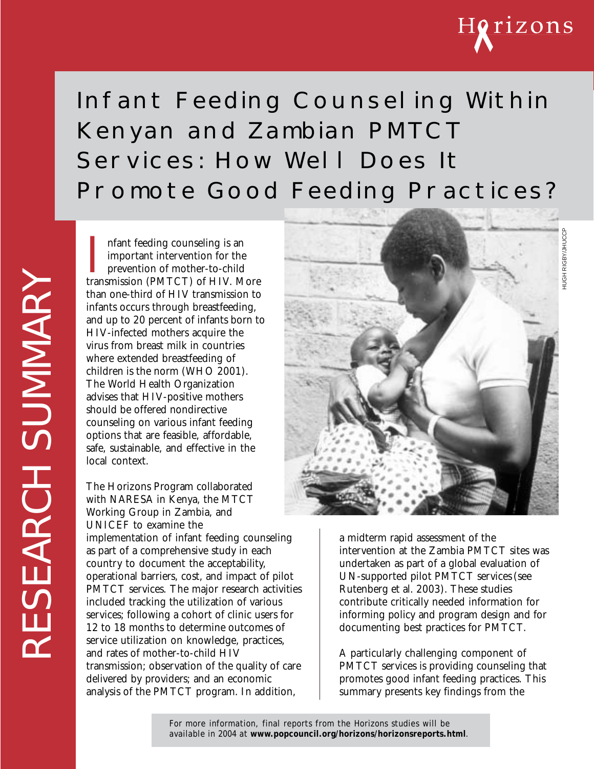

HUGH RIGBY/JHUCCP

# Infant Feeding Counseling Within Kenyan and Zambian PMTCT Services: How Well Does It Promote Good Feeding Practices?

Infant feeding counseling is an<br>important intervention for the<br>prevention of mother-to-child<br>transmission (PMTCT) of HIV. More nfant feeding counseling is an important intervention for the prevention of mother-to-child than one-third of HIV transmission to infants occurs through breastfeeding, and up to 20 percent of infants born to HIV-infected mothers acquire the virus from breast milk in countries where extended breastfeeding of children is the norm (WHO 2001). The World Health Organization advises that HIV-positive mothers should be offered nondirective counseling on various infant feeding options that are feasible, affordable, safe, sustainable, and effective in the local context.

The Horizons Program collaborated with NARESA in Kenya, the MTCT Working Group in Zambia, and UNICEF to examine the implementation of infant feeding counseling as part of a comprehensive study in each country to document the acceptability, operational barriers, cost, and impact of pilot PMTCT services. The major research activities included tracking the utilization of various services; following a cohort of clinic users for 12 to 18 months to determine outcomes of service utilization on knowledge, practices, and rates of mother-to-child HIV transmission; observation of the quality of care delivered by providers; and an economic analysis of the PMTCT program. In addition,



a midterm rapid assessment of the intervention at the Zambia PMTCT sites was undertaken as part of a global evaluation of UN-supported pilot PMTCT services(see Rutenberg et al. 2003). These studies contribute critically needed information for informing policy and program design and for documenting best practices for PMTCT.

A particularly challenging component of PMTCT services is providing counseling that promotes good infant feeding practices. This summary presents key findings from the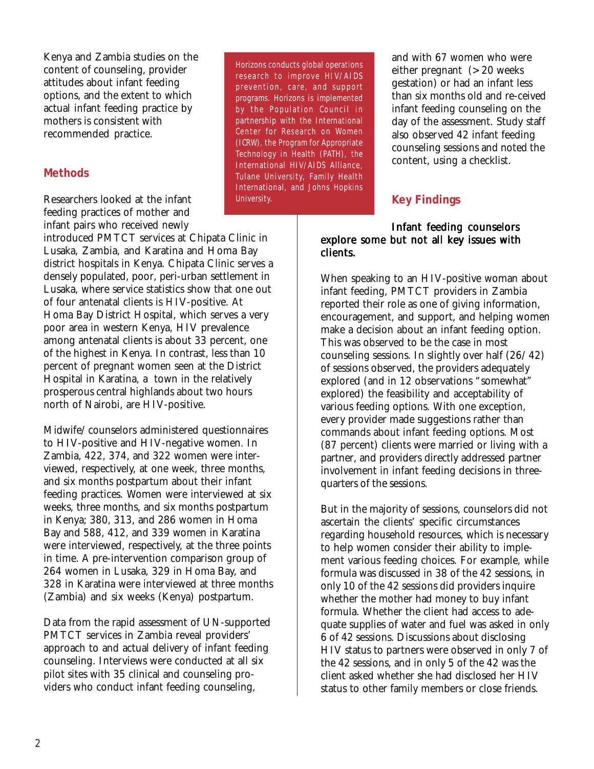Kenya and Zambia studies on the content of counseling, provider attitudes about infant feeding options, and the extent to which actual infant feeding practice by mothers is consistent with recommended practice.

#### **Methods**

Researchers looked at the infant feeding practices of mother and infant pairs who received newly

introduced PMTCT services at Chipata Clinic in Lusaka, Zambia, and Karatina and Homa Bay district hospitals in Kenya. Chipata Clinic serves a densely populated, poor, peri-urban settlement in Lusaka, where service statistics show that one out of four antenatal clients is HIV-positive. At Homa Bay District Hospital, which serves a very poor area in western Kenya, HIV prevalence among antenatal clients is about 33 percent, one of the highest in Kenya. In contrast, less than 10 percent of pregnant women seen at the District Hospital in Karatina, a town in the relatively prosperous central highlands about two hours north of Nairobi, are HIV-positive.

Midwife/counselors administered questionnaires to HIV-positive and HIV-negative women. In Zambia, 422, 374, and 322 women were interviewed, respectively, at one week, three months, and six months postpartum about their infant feeding practices. Women were interviewed at six weeks, three months, and six months postpartum in Kenya; 380, 313, and 286 women in Homa Bay and 588, 412, and 339 women in Karatina were interviewed, respectively, at the three points in time. A pre-intervention comparison group of 264 women in Lusaka, 329 in Homa Bay, and 328 in Karatina were interviewed at three months (Zambia) and six weeks (Kenya) postpartum.

Data from the rapid assessment of UN-supported PMTCT services in Zambia reveal providers' approach to and actual delivery of infant feeding counseling. Interviews were conducted at all six pilot sites with 35 clinical and counseling providers who conduct infant feeding counseling,

Horizons conducts global operations research to improve HIV/AIDS prevention, care, and support programs. Horizons is implemented by the Population Council in partnership with the International Center for Research on Women (ICRW), the Program for Appropriate Technology in Health (PATH), the International HIV/AIDS Alliance, Tulane University, Family Health International, and Johns Hopkins University.

and with 67 women who were either pregnant (> 20 weeks) gestation) or had an infant less than six months old and re-ceived infant feeding counseling on the day of the assessment. Study staff also observed 42 infant feeding counseling sessions and noted the content, using a checklist.

### **Key Findings**

#### Infant feeding counselors explore some but not all key issues with clients.

When speaking to an HIV-positive woman about infant feeding, PMTCT providers in Zambia reported their role as one of giving information, encouragement, and support, and helping women make a decision about an infant feeding option. This was observed to be the case in most counseling sessions. In slightly over half (26/42) of sessions observed, the providers adequately explored (and in 12 observations "somewhat" explored) the feasibility and acceptability of various feeding options. With one exception, every provider made suggestions rather than commands about infant feeding options. Most (87 percent) clients were married or living with a partner, and providers directly addressed partner involvement in infant feeding decisions in threequarters of the sessions.

But in the majority of sessions, counselors did not ascertain the clients' specific circumstances regarding household resources, which is necessary to help women consider their ability to implement various feeding choices. For example, while formula was discussed in 38 of the 42 sessions, in only 10 of the 42 sessions did providers inquire whether the mother had money to buy infant formula. Whether the client had access to adequate supplies of water and fuel was asked in only 6 of 42 sessions. Discussions about disclosing HIV status to partners were observed in only 7 of the 42 sessions, and in only 5 of the 42 was the client asked whether she had disclosed her HIV status to other family members or close friends.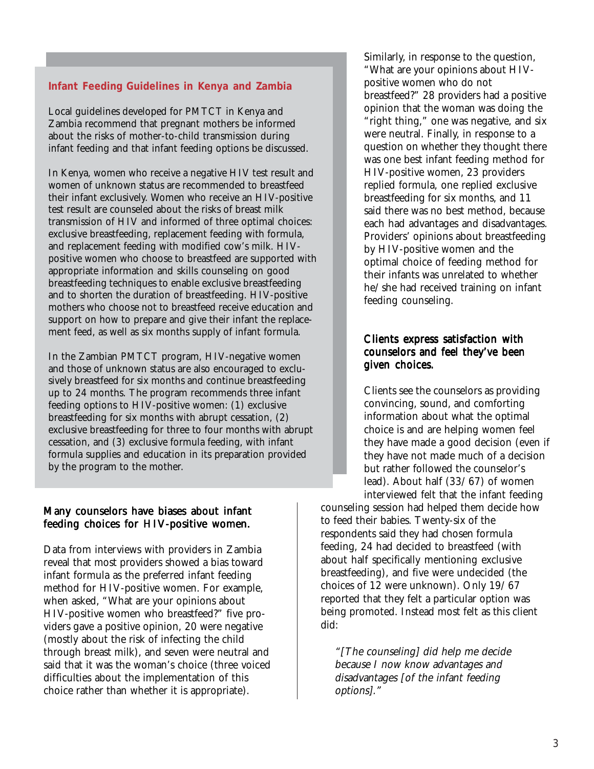#### **Infant Feeding Guidelines in Kenya and Zambia**

Local guidelines developed for PMTCT in Kenya and Zambia recommend that pregnant mothers be informed about the risks of mother-to-child transmission during infant feeding and that infant feeding options be discussed.

In Kenya, women who receive a negative HIV test result and women of unknown status are recommended to breastfeed their infant exclusively. Women who receive an HIV-positive test result are counseled about the risks of breast milk transmission of HIV and informed of three optimal choices: exclusive breastfeeding, replacement feeding with formula, and replacement feeding with modified cow's milk. HIVpositive women who choose to breastfeed are supported with appropriate information and skills counseling on good breastfeeding techniques to enable exclusive breastfeeding and to shorten the duration of breastfeeding. HIV-positive mothers who choose not to breastfeed receive education and support on how to prepare and give their infant the replacement feed, as well as six months supply of infant formula.

In the Zambian PMTCT program, HIV-negative women and those of unknown status are also encouraged to exclusively breastfeed for six months and continue breastfeeding up to 24 months. The program recommends three infant feeding options to HIV-positive women: (1) exclusive breastfeeding for six months with abrupt cessation, (2) exclusive breastfeeding for three to four months with abrupt cessation, and (3) exclusive formula feeding, with infant formula supplies and education in its preparation provided by the program to the mother.

#### Many counselors have biases about infant feeding choices for HIV-positive women.

Data from interviews with providers in Zambia reveal that most providers showed a bias toward infant formula as the preferred infant feeding method for HIV-positive women. For example, when asked, "What are your opinions about HIV-positive women who breastfeed?" five providers gave a positive opinion, 20 were negative (mostly about the risk of infecting the child through breast milk), and seven were neutral and said that it was the woman's choice (three voiced difficulties about the implementation of this choice rather than whether it is appropriate).

Similarly, in response to the question, "What are your opinions about HIVpositive women who do not breastfeed?" 28 providers had a positive opinion that the woman was doing the "right thing," one was negative, and six were neutral. Finally, in response to a question on whether they thought there was one best infant feeding method for HIV-positive women, 23 providers replied formula, one replied exclusive breastfeeding for six months, and 11 said there was no best method, because each had advantages and disadvantages. Providers' opinions about breastfeeding by HIV-positive women and the optimal choice of feeding method for their infants was unrelated to whether he/she had received training on infant feeding counseling.

#### Clients express satisfaction with counselors and feel they've been given choices.

Clients see the counselors as providing convincing, sound, and comforting information about what the optimal choice is and are helping women feel they have made a good decision (even if they have not made much of a decision but rather followed the counselor's lead). About half (33/67) of women interviewed felt that the infant feeding

counseling session had helped them decide how to feed their babies. Twenty-six of the respondents said they had chosen formula feeding, 24 had decided to breastfeed (with about half specifically mentioning exclusive breastfeeding), and five were undecided (the choices of 12 were unknown). Only 19/67 reported that they felt a particular option was being promoted. Instead most felt as this client did:

"[The counseling] did help me decide because I now know advantages and disadvantages [of the infant feeding options]."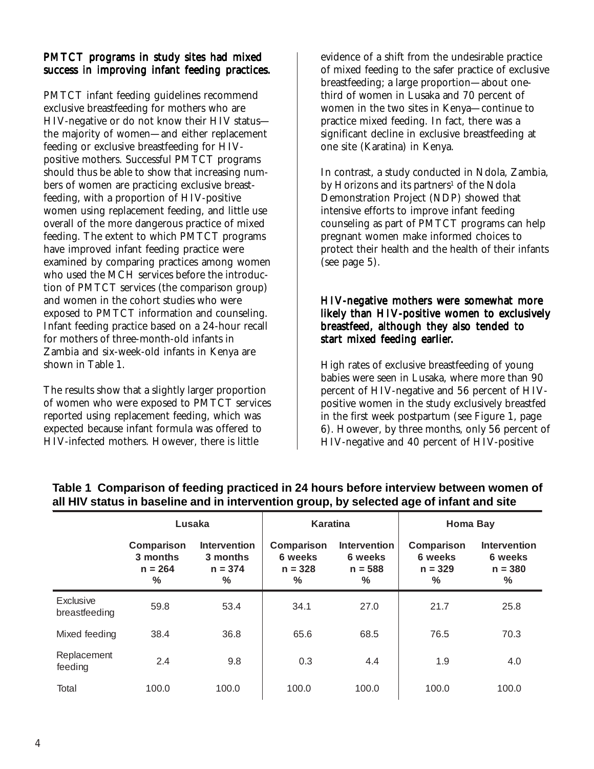#### PMTCT programs in study sites had mixed success in improving infant feeding practices.

PMTCT infant feeding guidelines recommend exclusive breastfeeding for mothers who are HIV-negative or do not know their HIV status the majority of women—and either replacement feeding or exclusive breastfeeding for HIVpositive mothers. Successful PMTCT programs should thus be able to show that increasing numbers of women are practicing exclusive breastfeeding, with a proportion of HIV-positive women using replacement feeding, and little use overall of the more dangerous practice of mixed feeding. The extent to which PMTCT programs have improved infant feeding practice were examined by comparing practices among women who used the MCH services before the introduction of PMTCT services (the comparison group) and women in the cohort studies who were exposed to PMTCT information and counseling. Infant feeding practice based on a 24-hour recall for mothers of three-month-old infants in Zambia and six-week-old infants in Kenya are shown in Table 1.

The results show that a slightly larger proportion of women who were exposed to PMTCT services reported using replacement feeding, which was expected because infant formula was offered to HIV-infected mothers. However, there is little

evidence of a shift from the undesirable practice of mixed feeding to the safer practice of exclusive breastfeeding; a large proportion—about onethird of women in Lusaka and 70 percent of women in the two sites in Kenya—continue to practice mixed feeding. In fact, there was a significant decline in exclusive breastfeeding at one site (Karatina) in Kenya.

In contrast, a study conducted in Ndola, Zambia, by Horizons and its partners<sup>1</sup> of the Ndola Demonstration Project (NDP) showed that intensive efforts to improve infant feeding counseling as part of PMTCT programs can help pregnant women make informed choices to protect their health and the health of their infants (see page 5).

#### HIV-negative mothers were somewhat more likely than HIV-positive women to exclusively breastfeed, although they also tended to start mixed feeding earlier.

High rates of exclusive breastfeeding of young babies were seen in Lusaka, where more than 90 percent of HIV-negative and 56 percent of HIVpositive women in the study exclusively breastfed in the first week postpartum (see Figure 1, page 6). However, by three months, only 56 percent of HIV-negative and 40 percent of HIV-positive

|                            | Lusaka                                               |                                                               | <b>Karatina</b>                                     |                                                     | <b>Homa Bay</b>                                     |                                                              |
|----------------------------|------------------------------------------------------|---------------------------------------------------------------|-----------------------------------------------------|-----------------------------------------------------|-----------------------------------------------------|--------------------------------------------------------------|
|                            | Comparison<br>3 months<br>$n = 264$<br>$\frac{0}{0}$ | <b>Intervention</b><br>3 months<br>$n = 374$<br>$\frac{0}{0}$ | Comparison<br>6 weeks<br>$n = 328$<br>$\frac{0}{0}$ | <b>Intervention</b><br>6 weeks<br>$n = 588$<br>$\%$ | Comparison<br>6 weeks<br>$n = 329$<br>$\frac{0}{0}$ | <b>Intervention</b><br>6 weeks<br>$n = 380$<br>$\frac{0}{0}$ |
| Exclusive<br>breastfeeding | 59.8                                                 | 53.4                                                          | 34.1                                                | 27.0                                                | 21.7                                                | 25.8                                                         |
| Mixed feeding              | 38.4                                                 | 36.8                                                          | 65.6                                                | 68.5                                                | 76.5                                                | 70.3                                                         |
| Replacement<br>feeding     | 2.4                                                  | 9.8                                                           | 0.3                                                 | 4.4                                                 | 1.9                                                 | 4.0                                                          |
| Total                      | 100.0                                                | 100.0                                                         | 100.0                                               | 100.0                                               | 100.0                                               | 100.0                                                        |

#### **Table 1 Comparison of feeding practiced in 24 hours before interview between women of all HIV status in baseline and in intervention group, by selected age of infant and site**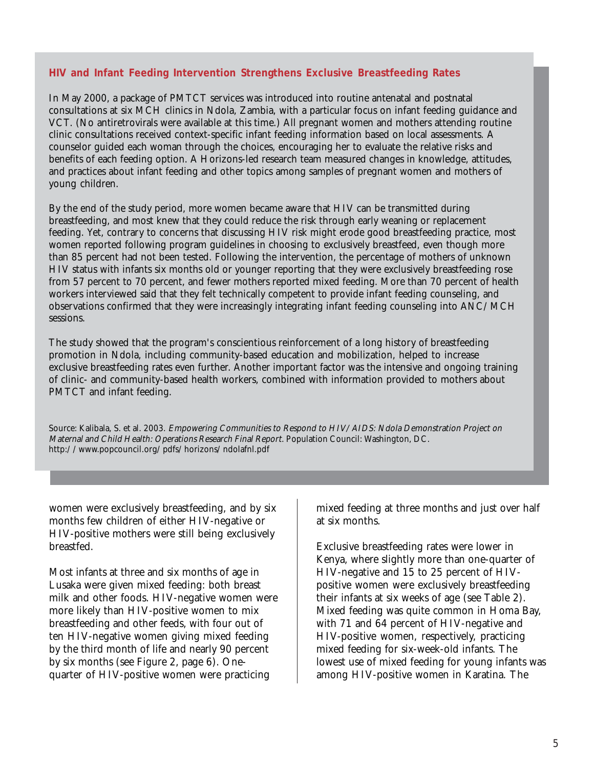#### **HIV and Infant Feeding Intervention Strengthens Exclusive Breastfeeding Rates**

In May 2000, a package of PMTCT services was introduced into routine antenatal and postnatal consultations at six MCH clinics in Ndola, Zambia, with a particular focus on infant feeding guidance and VCT. (No antiretrovirals were available at this time.) All pregnant women and mothers attending routine clinic consultations received context-specific infant feeding information based on local assessments. A counselor guided each woman through the choices, encouraging her to evaluate the relative risks and benefits of each feeding option. A Horizons-led research team measured changes in knowledge, attitudes, and practices about infant feeding and other topics among samples of pregnant women and mothers of young children.

By the end of the study period, more women became aware that HIV can be transmitted during breastfeeding, and most knew that they could reduce the risk through early weaning or replacement feeding. Yet, contrary to concerns that discussing HIV risk might erode good breastfeeding practice, most women reported following program guidelines in choosing to exclusively breastfeed, even though more than 85 percent had not been tested. Following the intervention, the percentage of mothers of unknown HIV status with infants six months old or younger reporting that they were exclusively breastfeeding rose from 57 percent to 70 percent, and fewer mothers reported mixed feeding. More than 70 percent of health workers interviewed said that they felt technically competent to provide infant feeding counseling, and observations confirmed that they were increasingly integrating infant feeding counseling into ANC/MCH sessions.

The study showed that the program's conscientious reinforcement of a long history of breastfeeding promotion in Ndola, including community-based education and mobilization, helped to increase exclusive breastfeeding rates even further. Another important factor was the intensive and ongoing training of clinic- and community-based health workers, combined with information provided to mothers about PMTCT and infant feeding.

Source: Kalibala, S. et al. 2003. Empowering Communities to Respond to HIV/AIDS: Ndola Demonstration Project on Maternal and Child Health: Operations Research Final Report. Population Council: Washington, DC. http://www.popcouncil.org/pdfs/horizons/ndolafnl.pdf

women were exclusively breastfeeding, and by six months few children of either HIV-negative or HIV-positive mothers were still being exclusively breastfed.

Most infants at three and six months of age in Lusaka were given mixed feeding: both breast milk and other foods. HIV-negative women were more likely than HIV-positive women to mix breastfeeding and other feeds, with four out of ten HIV-negative women giving mixed feeding by the third month of life and nearly 90 percent by six months (see Figure 2, page 6). Onequarter of HIV-positive women were practicing

mixed feeding at three months and just over half at six months.

Exclusive breastfeeding rates were lower in Kenya, where slightly more than one-quarter of HIV-negative and 15 to 25 percent of HIVpositive women were exclusively breastfeeding their infants at six weeks of age (see Table 2). Mixed feeding was quite common in Homa Bay, with 71 and 64 percent of HIV-negative and HIV-positive women, respectively, practicing mixed feeding for six-week-old infants. The lowest use of mixed feeding for young infants was among HIV-positive women in Karatina. The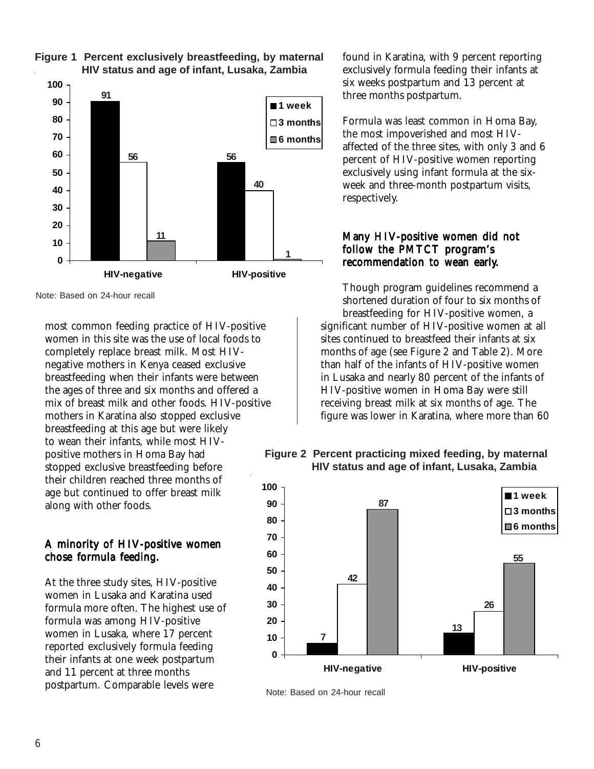

#### **Figure 1 Percent exclusively breastfeeding, by maternal HIV status and age of infant, Lusaka, Zambia**

Note: Based on 24-hour recall

most common feeding practice of HIV-positive women in this site was the use of local foods to completely replace breast milk. Most HIVnegative mothers in Kenya ceased exclusive breastfeeding when their infants were between the ages of three and six months and offered a mix of breast milk and other foods. HIV-positive mothers in Karatina also stopped exclusive breastfeeding at this age but were likely to wean their infants, while most HIVpositive mothers in Homa Bay had stopped exclusive breastfeeding before their children reached three months of age but continued to offer breast milk along with other foods.

#### A minority of HIV-positive women chose formula feeding.

At the three study sites, HIV-positive women in Lusaka and Karatina used formula more often. The highest use of formula was among HIV-positive women in Lusaka, where 17 percent reported exclusively formula feeding their infants at one week postpartum and 11 percent at three months postpartum. Comparable levels were

found in Karatina, with 9 percent reporting exclusively formula feeding their infants at six weeks postpartum and 13 percent at three months postpartum.

Formula was least common in Homa Bay, the most impoverished and most HIVaffected of the three sites, with only 3 and 6 percent of HIV-positive women reporting exclusively using infant formula at the sixweek and three-month postpartum visits, respectively.

#### Many HIV-positive women did not follow the PMTCT program's recommendation to wean early.

Though program guidelines recommend a shortened duration of four to six months of breastfeeding for HIV-positive women, a significant number of HIV-positive women at all sites continued to breastfeed their infants at six months of age (see Figure 2 and Table 2). More than half of the infants of HIV-positive women in Lusaka and nearly 80 percent of the infants of HIV-positive women in Homa Bay were still receiving breast milk at six months of age. The figure was lower in Karatina, where more than 60

#### **Figure 2 Percent practicing mixed feeding, by maternal HIV status and age of infant, Lusaka, Zambia**



Note: Based on 24-hour recall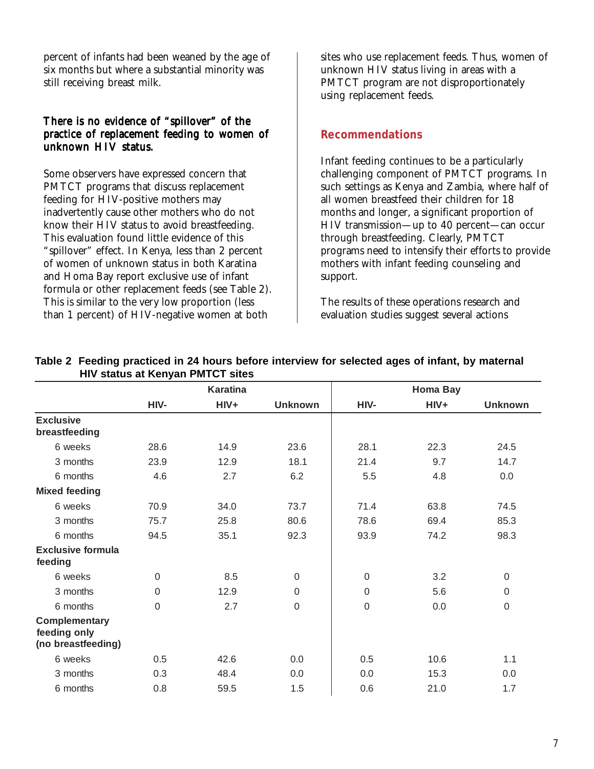percent of infants had been weaned by the age of six months but where a substantial minority was still receiving breast milk.

#### There is no evidence of "spillover" of the practice of replacement feeding to women of unknown HIV status.

Some observers have expressed concern that PMTCT programs that discuss replacement feeding for HIV-positive mothers may inadvertently cause other mothers who do not know their HIV status to avoid breastfeeding. This evaluation found little evidence of this "spillover" effect. In Kenya, less than 2 percent of women of unknown status in both Karatina and Homa Bay report exclusive use of infant formula or other replacement feeds (see Table 2). This is similar to the very low proportion (less than 1 percent) of HIV-negative women at both

sites who use replacement feeds. Thus, women of unknown HIV status living in areas with a PMTCT program are not disproportionately using replacement feeds.

#### **Recommendations**

Infant feeding continues to be a particularly challenging component of PMTCT programs. In such settings as Kenya and Zambia, where half of all women breastfeed their children for 18 months and longer, a significant proportion of HIV transmission—up to 40 percent—can occur through breastfeeding. Clearly, PMTCT programs need to intensify their efforts to provide mothers with infant feeding counseling and support.

The results of these operations research and evaluation studies suggest several actions

|                                                     |             | <b>Karatina</b> |                  |                  | <b>Homa Bay</b> |                |
|-----------------------------------------------------|-------------|-----------------|------------------|------------------|-----------------|----------------|
|                                                     | HIV-        | $HIV+$          | <b>Unknown</b>   | HIV-             | $HIV+$          | <b>Unknown</b> |
| <b>Exclusive</b><br>breastfeeding                   |             |                 |                  |                  |                 |                |
| 6 weeks                                             | 28.6        | 14.9            | 23.6             | 28.1             | 22.3            | 24.5           |
| 3 months                                            | 23.9        | 12.9            | 18.1             | 21.4             | 9.7             | 14.7           |
| 6 months                                            | 4.6         | 2.7             | 6.2              | 5.5              | 4.8             | 0.0            |
| <b>Mixed feeding</b>                                |             |                 |                  |                  |                 |                |
| 6 weeks                                             | 70.9        | 34.0            | 73.7             | 71.4             | 63.8            | 74.5           |
| 3 months                                            | 75.7        | 25.8            | 80.6             | 78.6             | 69.4            | 85.3           |
| 6 months                                            | 94.5        | 35.1            | 92.3             | 93.9             | 74.2            | 98.3           |
| <b>Exclusive formula</b><br>feeding                 |             |                 |                  |                  |                 |                |
| 6 weeks                                             | $\mathbf 0$ | 8.5             | $\mathbf 0$      | $\mathbf 0$      | 3.2             | $\mathbf 0$    |
| 3 months                                            | $\mathbf 0$ | 12.9            | $\mathbf 0$      | $\mathbf 0$      | 5.6             | 0              |
| 6 months                                            | $\mathbf 0$ | 2.7             | $\boldsymbol{0}$ | $\boldsymbol{0}$ | 0.0             | 0              |
| Complementary<br>feeding only<br>(no breastfeeding) |             |                 |                  |                  |                 |                |
| 6 weeks                                             | 0.5         | 42.6            | 0.0              | 0.5              | 10.6            | 1.1            |
| 3 months                                            | 0.3         | 48.4            | 0.0              | 0.0              | 15.3            | 0.0            |
| 6 months                                            | 0.8         | 59.5            | 1.5              | 0.6              | 21.0            | 1.7            |

#### **Table 2 Feeding practiced in 24 hours before interview for selected ages of infant, by maternal HIV status at Kenyan PMTCT sites**